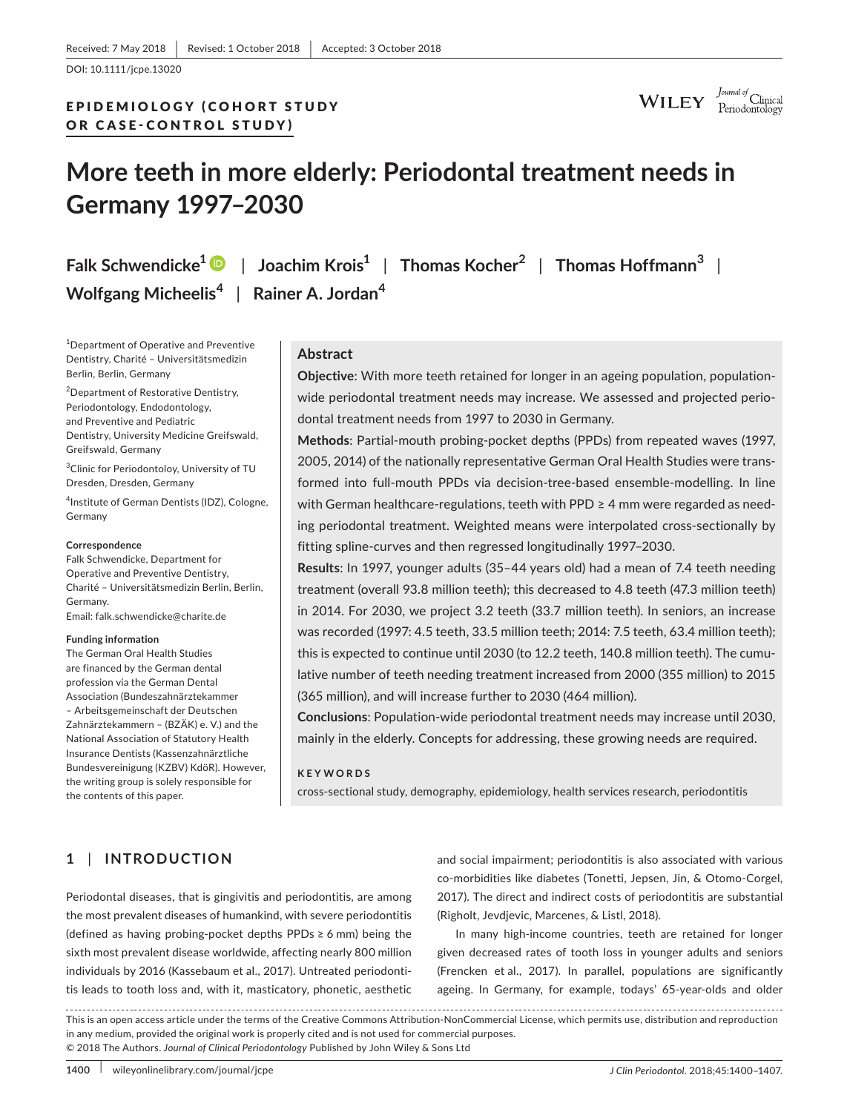DOI: 10.1111/jcpe.13020

# EPIDEMIOLOGY (COHORT STUDY OR CASE- CONTROL STUDY)

 $\textbf{WILEY} \quad \substack{\textit{Journal of} \\ \textit{Periodontology}}}$ 

# **More teeth in more elderly: Periodontal treatment needs in Germany 1997–2030**

**Falk Schwendicke[1](http://orcid.org/0000-0003-1223-1669)** | **Joachim Krois<sup>1</sup>** | **Thomas Kocher<sup>2</sup>** | **Thomas Hoffmann<sup>3</sup>** | **Wolfgang Micheelis<sup>4</sup>** | **Rainer A. Jordan<sup>4</sup>**

1 Department of Operative and Preventive Dentistry, Charité – Universitätsmedizin Berlin, Berlin, Germany

2 Department of Restorative Dentistry, Periodontology, Endodontology, and Preventive and Pediatric Dentistry, University Medicine Greifswald, Greifswald, Germany

<sup>3</sup> Clinic for Periodontoloy, University of TU Dresden, Dresden, Germany

4 Institute of German Dentists (IDZ), Cologne, Germany

#### **Correspondence**

Falk Schwendicke, Department for Operative and Preventive Dentistry, Charité – Universitätsmedizin Berlin, Berlin, Germany.

Email: [falk.schwendicke@charite.de](mailto:falk.schwendicke@charite.de)

#### **Funding information**

The German Oral Health Studies are financed by the German dental profession via the German Dental Association (Bundeszahnärztekammer – Arbeitsgemeinschaft der Deutschen Zahnärztekammern – (BZÄK) e. V.) and the National Association of Statutory Health Insurance Dentists (Kassenzahnärztliche Bundesvereinigung (KZBV) KdöR). However, the writing group is solely responsible for the contents of this paper.

## **Abstract**

**Objective**: With more teeth retained for longer in an ageing population, populationwide periodontal treatment needs may increase. We assessed and projected periodontal treatment needs from 1997 to 2030 in Germany.

**Methods**: Partial-mouth probing-pocket depths (PPDs) from repeated waves (1997, 2005, 2014) of the nationally representative German Oral Health Studies were transformed into full-mouth PPDs via decision-tree-based ensemble-modelling. In line with German healthcare-regulations, teeth with PPD ≥ 4 mm were regarded as needing periodontal treatment. Weighted means were interpolated cross-sectionally by fitting spline-curves and then regressed longitudinally 1997–2030.

**Results**: In 1997, younger adults (35–44 years old) had a mean of 7.4 teeth needing treatment (overall 93.8 million teeth); this decreased to 4.8 teeth (47.3 million teeth) in 2014. For 2030, we project 3.2 teeth (33.7 million teeth). In seniors, an increase was recorded (1997: 4.5 teeth, 33.5 million teeth; 2014: 7.5 teeth, 63.4 million teeth); this is expected to continue until 2030 (to 12.2 teeth, 140.8 million teeth). The cumulative number of teeth needing treatment increased from 2000 (355 million) to 2015 (365 million), and will increase further to 2030 (464 million).

**Conclusions**: Population-wide periodontal treatment needs may increase until 2030, mainly in the elderly. Concepts for addressing, these growing needs are required.

#### **KEYWORDS**

cross-sectional study, demography, epidemiology, health services research, periodontitis

# **1** | **INTRODUCTION**

Periodontal diseases, that is gingivitis and periodontitis, are among the most prevalent diseases of humankind, with severe periodontitis (defined as having probing-pocket depths PPDs  $\geq 6$  mm) being the sixth most prevalent disease worldwide, affecting nearly 800 million individuals by 2016 (Kassebaum et al., 2017). Untreated periodontitis leads to tooth loss and, with it, masticatory, phonetic, aesthetic

and social impairment; periodontitis is also associated with various co-morbidities like diabetes (Tonetti, Jepsen, Jin, & Otomo-Corgel, 2017). The direct and indirect costs of periodontitis are substantial (Righolt, Jevdjevic, Marcenes, & Listl, 2018).

In many high-income countries, teeth are retained for longer given decreased rates of tooth loss in younger adults and seniors (Frencken et al., 2017). In parallel, populations are significantly ageing. In Germany, for example, todays' 65-year-olds and older

This is an open access article under the terms of the [Creative Commons Attribution-NonCommercial](http://creativecommons.org/licenses/by-nc/4.0/) License, which permits use, distribution and reproduction in any medium, provided the original work is properly cited and is not used for commercial purposes. © 2018 The Authors. *Journal of Clinical Periodontology* Published by John Wiley & Sons Ltd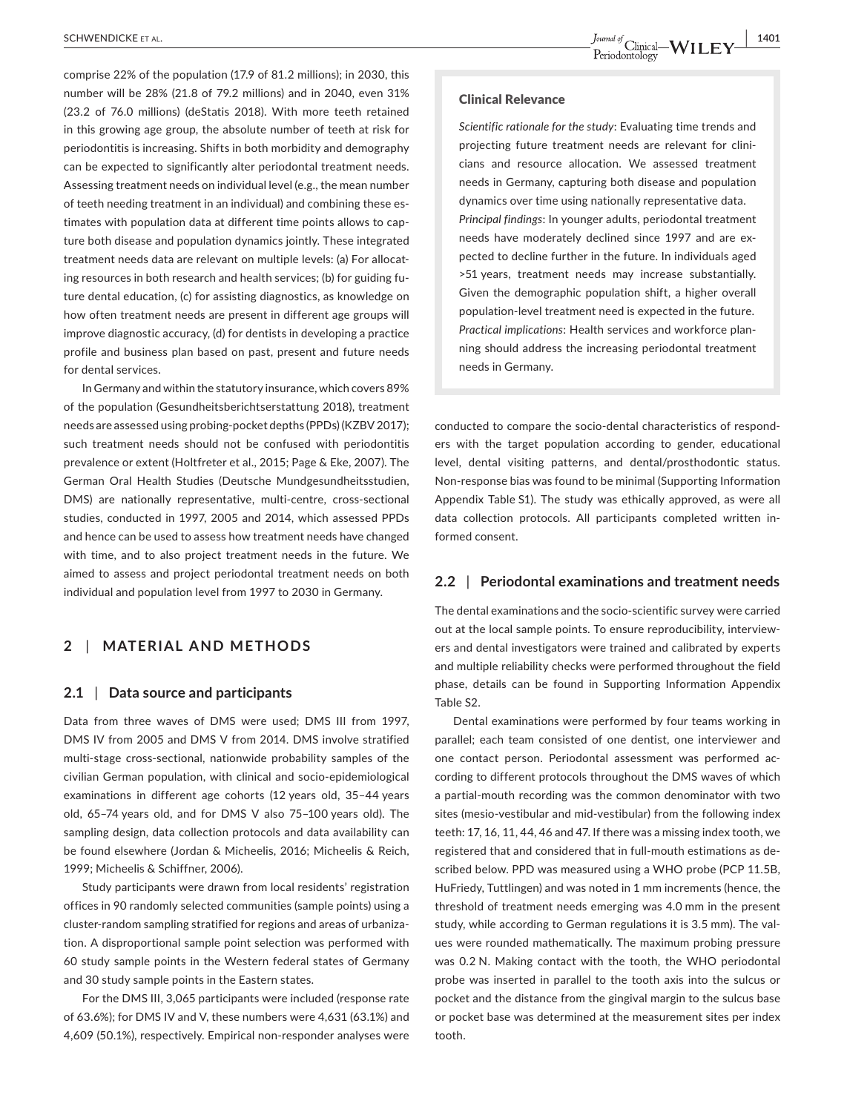**SCHWENDICKE** ET AL. **1401**<br>**1401** Deriodontology  $\mathbf{WI }$   $\mathbf{LFV}$   $\frac{1401}{P}$ 

comprise 22% of the population (17.9 of 81.2 millions); in 2030, this number will be 28% (21.8 of 79.2 millions) and in 2040, even 31% (23.2 of 76.0 millions) (deStatis 2018). With more teeth retained in this growing age group, the absolute number of teeth at risk for periodontitis is increasing. Shifts in both morbidity and demography can be expected to significantly alter periodontal treatment needs. Assessing treatment needs on individual level (e.g., the mean number of teeth needing treatment in an individual) and combining these estimates with population data at different time points allows to capture both disease and population dynamics jointly. These integrated treatment needs data are relevant on multiple levels: (a) For allocating resources in both research and health services; (b) for guiding future dental education, (c) for assisting diagnostics, as knowledge on how often treatment needs are present in different age groups will improve diagnostic accuracy, (d) for dentists in developing a practice profile and business plan based on past, present and future needs for dental services.

In Germany and within the statutory insurance, which covers 89% of the population (Gesundheitsberichtserstattung 2018), treatment needs are assessed using probing-pocket depths (PPDs) (KZBV 2017); such treatment needs should not be confused with periodontitis prevalence or extent (Holtfreter et al., 2015; Page & Eke, 2007). The German Oral Health Studies (Deutsche Mundgesundheitsstudien, DMS) are nationally representative, multi-centre, cross-sectional studies, conducted in 1997, 2005 and 2014, which assessed PPDs and hence can be used to assess how treatment needs have changed with time, and to also project treatment needs in the future. We aimed to assess and project periodontal treatment needs on both individual and population level from 1997 to 2030 in Germany.

## **2** | **MATERIAL AND METHODS**

#### **2.1** | **Data source and participants**

Data from three waves of DMS were used; DMS III from 1997, DMS IV from 2005 and DMS V from 2014. DMS involve stratified multi-stage cross-sectional, nationwide probability samples of the civilian German population, with clinical and socio-epidemiological examinations in different age cohorts (12 years old, 35–44 years old, 65–74 years old, and for DMS V also 75–100 years old). The sampling design, data collection protocols and data availability can be found elsewhere (Jordan & Micheelis, 2016; Micheelis & Reich, 1999; Micheelis & Schiffner, 2006).

Study participants were drawn from local residents' registration offices in 90 randomly selected communities (sample points) using a cluster-random sampling stratified for regions and areas of urbanization. A disproportional sample point selection was performed with 60 study sample points in the Western federal states of Germany and 30 study sample points in the Eastern states.

For the DMS III, 3,065 participants were included (response rate of 63.6%); for DMS IV and V, these numbers were 4,631 (63.1%) and 4,609 (50.1%), respectively. Empirical non-responder analyses were

#### Clinical Relevance

*Scientific rationale for the study*: Evaluating time trends and projecting future treatment needs are relevant for clinicians and resource allocation. We assessed treatment needs in Germany, capturing both disease and population dynamics over time using nationally representative data. *Principal findings*: In younger adults, periodontal treatment needs have moderately declined since 1997 and are expected to decline further in the future. In individuals aged >51 years, treatment needs may increase substantially. Given the demographic population shift, a higher overall population-level treatment need is expected in the future. *Practical implications*: Health services and workforce planning should address the increasing periodontal treatment needs in Germany.

conducted to compare the socio-dental characteristics of responders with the target population according to gender, educational level, dental visiting patterns, and dental/prosthodontic status. Non-response bias was found to be minimal (Supporting Information Appendix Table S1). The study was ethically approved, as were all data collection protocols. All participants completed written informed consent.

### **2.2** | **Periodontal examinations and treatment needs**

The dental examinations and the socio-scientific survey were carried out at the local sample points. To ensure reproducibility, interviewers and dental investigators were trained and calibrated by experts and multiple reliability checks were performed throughout the field phase, details can be found in Supporting Information Appendix Table S2.

Dental examinations were performed by four teams working in parallel; each team consisted of one dentist, one interviewer and one contact person. Periodontal assessment was performed according to different protocols throughout the DMS waves of which a partial-mouth recording was the common denominator with two sites (mesio-vestibular and mid-vestibular) from the following index teeth: 17, 16, 11, 44, 46 and 47. If there was a missing index tooth, we registered that and considered that in full-mouth estimations as described below. PPD was measured using a WHO probe (PCP 11.5B, HuFriedy, Tuttlingen) and was noted in 1 mm increments (hence, the threshold of treatment needs emerging was 4.0 mm in the present study, while according to German regulations it is 3.5 mm). The values were rounded mathematically. The maximum probing pressure was 0.2 N. Making contact with the tooth, the WHO periodontal probe was inserted in parallel to the tooth axis into the sulcus or pocket and the distance from the gingival margin to the sulcus base or pocket base was determined at the measurement sites per index tooth.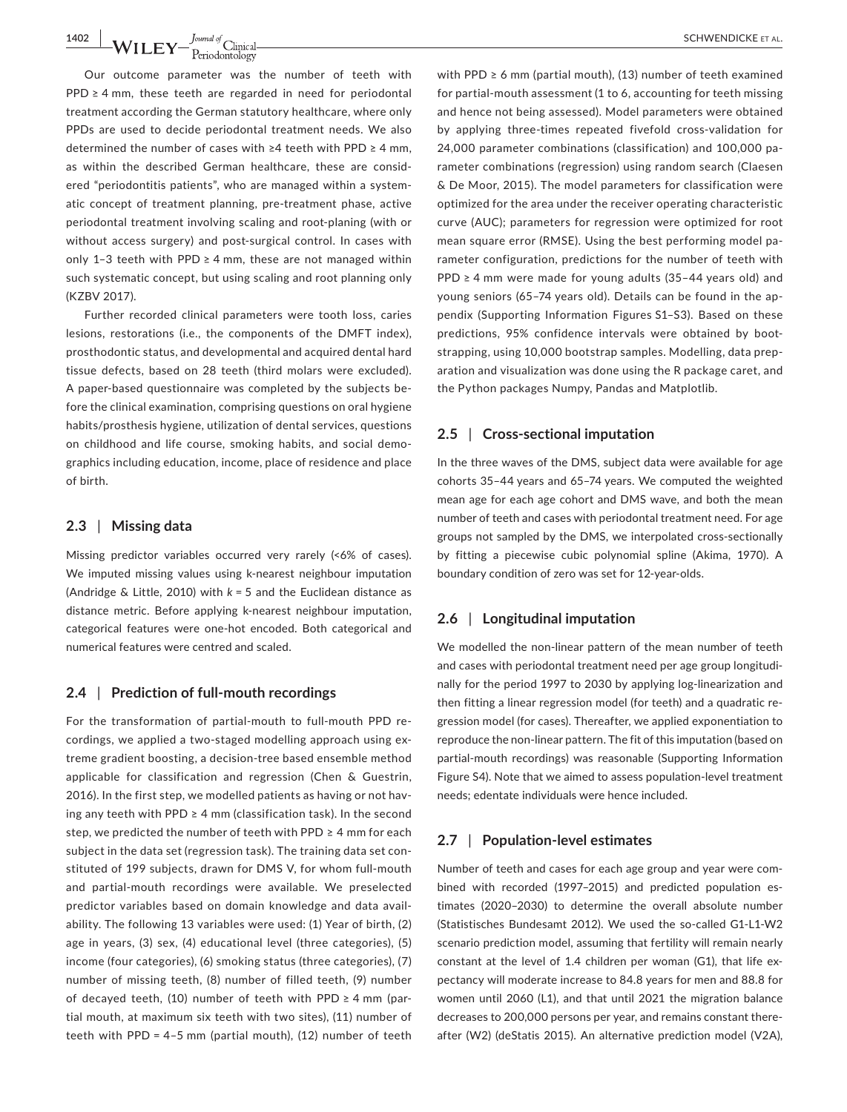**1402 b** *LAILERY dimind of Climical* **1402** *CHWENDICKE* **ET AL.** 

Our outcome parameter was the number of teeth with PPD ≥ 4 mm, these teeth are regarded in need for periodontal treatment according the German statutory healthcare, where only PPDs are used to decide periodontal treatment needs. We also determined the number of cases with ≥4 teeth with PPD ≥ 4 mm, as within the described German healthcare, these are considered "periodontitis patients", who are managed within a systematic concept of treatment planning, pre-treatment phase, active periodontal treatment involving scaling and root-planing (with or without access surgery) and post-surgical control. In cases with only 1–3 teeth with PPD  $\geq$  4 mm, these are not managed within such systematic concept, but using scaling and root planning only (KZBV 2017).

Further recorded clinical parameters were tooth loss, caries lesions, restorations (i.e., the components of the DMFT index), prosthodontic status, and developmental and acquired dental hard tissue defects, based on 28 teeth (third molars were excluded). A paper-based questionnaire was completed by the subjects before the clinical examination, comprising questions on oral hygiene habits/prosthesis hygiene, utilization of dental services, questions on childhood and life course, smoking habits, and social demographics including education, income, place of residence and place of birth.

### **2.3** | **Missing data**

Missing predictor variables occurred very rarely (<6% of cases). We imputed missing values using k-nearest neighbour imputation (Andridge & Little, 2010) with *k* = 5 and the Euclidean distance as distance metric. Before applying k-nearest neighbour imputation, categorical features were one-hot encoded. Both categorical and numerical features were centred and scaled.

#### **2.4** | **Prediction of full-mouth recordings**

For the transformation of partial-mouth to full-mouth PPD recordings, we applied a two-staged modelling approach using extreme gradient boosting, a decision-tree based ensemble method applicable for classification and regression (Chen & Guestrin, 2016). In the first step, we modelled patients as having or not having any teeth with PPD  $\geq 4$  mm (classification task). In the second step, we predicted the number of teeth with PPD ≥ 4 mm for each subject in the data set (regression task). The training data set constituted of 199 subjects, drawn for DMS V, for whom full-mouth and partial-mouth recordings were available. We preselected predictor variables based on domain knowledge and data availability. The following 13 variables were used: (1) Year of birth, (2) age in years, (3) sex, (4) educational level (three categories), (5) income (four categories), (6) smoking status (three categories), (7) number of missing teeth, (8) number of filled teeth, (9) number of decayed teeth, (10) number of teeth with PPD  $\geq$  4 mm (partial mouth, at maximum six teeth with two sites), (11) number of teeth with PPD = 4–5 mm (partial mouth), (12) number of teeth

with PPD  $\geq 6$  mm (partial mouth), (13) number of teeth examined for partial-mouth assessment (1 to 6, accounting for teeth missing and hence not being assessed). Model parameters were obtained by applying three-times repeated fivefold cross-validation for 24,000 parameter combinations (classification) and 100,000 parameter combinations (regression) using random search (Claesen & De Moor, 2015). The model parameters for classification were optimized for the area under the receiver operating characteristic curve (AUC); parameters for regression were optimized for root mean square error (RMSE). Using the best performing model parameter configuration, predictions for the number of teeth with  $PPD \geq 4$  mm were made for young adults (35-44 years old) and young seniors (65–74 years old). Details can be found in the appendix (Supporting Information Figures S1–S3). Based on these predictions, 95% confidence intervals were obtained by bootstrapping, using 10,000 bootstrap samples. Modelling, data preparation and visualization was done using the R package caret, and the Python packages Numpy, Pandas and Matplotlib.

#### **2.5** | **Cross-sectional imputation**

In the three waves of the DMS, subject data were available for age cohorts 35–44 years and 65–74 years. We computed the weighted mean age for each age cohort and DMS wave, and both the mean number of teeth and cases with periodontal treatment need. For age groups not sampled by the DMS, we interpolated cross-sectionally by fitting a piecewise cubic polynomial spline (Akima, 1970). A boundary condition of zero was set for 12-year-olds.

#### **2.6** | **Longitudinal imputation**

We modelled the non-linear pattern of the mean number of teeth and cases with periodontal treatment need per age group longitudinally for the period 1997 to 2030 by applying log-linearization and then fitting a linear regression model (for teeth) and a quadratic regression model (for cases). Thereafter, we applied exponentiation to reproduce the non-linear pattern. The fit of this imputation (based on partial-mouth recordings) was reasonable (Supporting Information Figure S4). Note that we aimed to assess population-level treatment needs; edentate individuals were hence included.

#### **2.7** | **Population-level estimates**

Number of teeth and cases for each age group and year were combined with recorded (1997–2015) and predicted population estimates (2020–2030) to determine the overall absolute number (Statistisches Bundesamt 2012). We used the so-called G1-L1-W2 scenario prediction model, assuming that fertility will remain nearly constant at the level of 1.4 children per woman (G1), that life expectancy will moderate increase to 84.8 years for men and 88.8 for women until 2060 (L1), and that until 2021 the migration balance decreases to 200,000 persons per year, and remains constant thereafter (W2) (deStatis 2015). An alternative prediction model (V2A),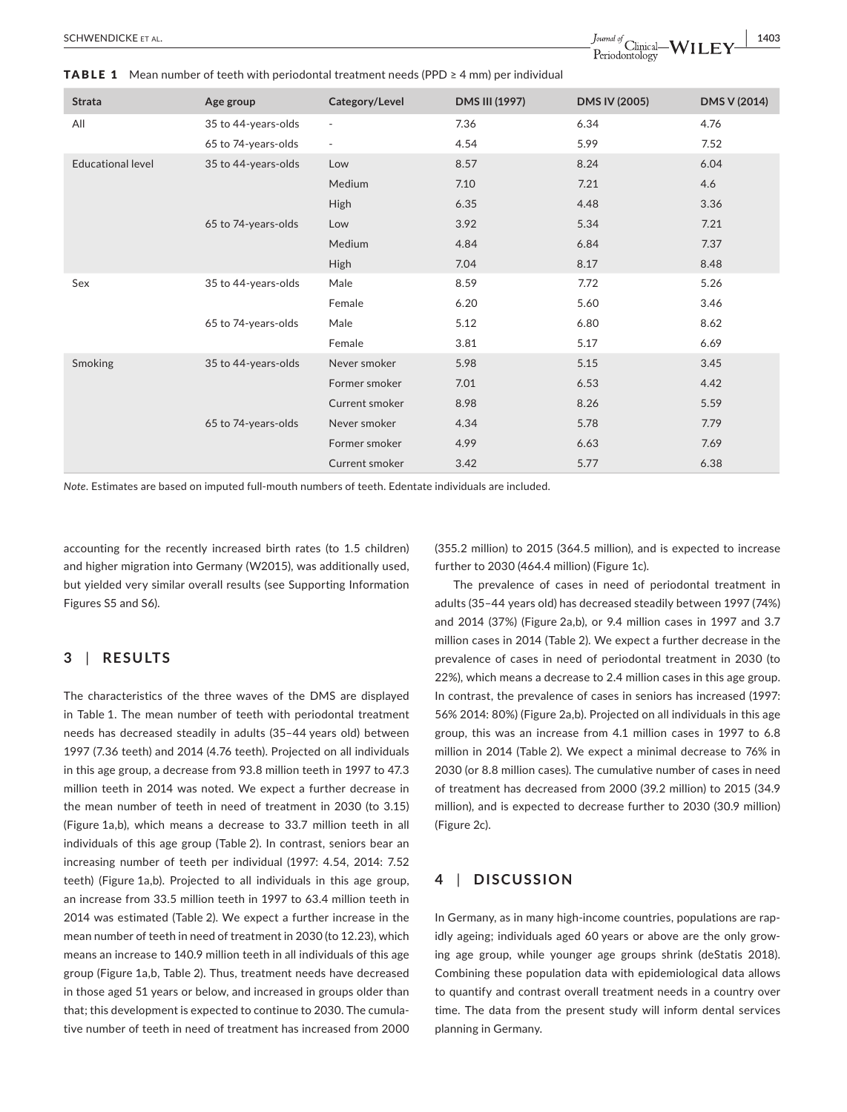| <b>Strata</b>            | Age group           | Category/Level           | DMS III (1997) | <b>DMS IV (2005)</b> | DMS V (2014) |
|--------------------------|---------------------|--------------------------|----------------|----------------------|--------------|
| All                      | 35 to 44-years-olds | $\overline{\phantom{a}}$ | 7.36           | 6.34                 | 4.76         |
|                          | 65 to 74-years-olds | $\overline{\phantom{a}}$ | 4.54           | 5.99                 | 7.52         |
| <b>Educational level</b> | 35 to 44-years-olds | Low                      | 8.57           | 8.24                 | 6.04         |
|                          |                     | Medium                   | 7.10           | 7.21                 | 4.6          |
|                          |                     | High                     | 6.35           | 4.48                 | 3.36         |
|                          | 65 to 74-years-olds | Low                      | 3.92           | 5.34                 | 7.21         |
|                          |                     | Medium                   | 4.84           | 6.84                 | 7.37         |
|                          |                     | <b>High</b>              | 7.04           | 8.17                 | 8.48         |
| Sex                      | 35 to 44-years-olds | Male                     | 8.59           | 7.72                 | 5.26         |
|                          |                     | Female                   | 6.20           | 5.60                 | 3.46         |
|                          | 65 to 74-years-olds | Male                     | 5.12           | 6.80                 | 8.62         |
|                          |                     | Female                   | 3.81           | 5.17                 | 6.69         |
| Smoking                  | 35 to 44-years-olds | Never smoker             | 5.98           | 5.15                 | 3.45         |
|                          |                     | Former smoker            | 7.01           | 6.53                 | 4.42         |
|                          |                     | Current smoker           | 8.98           | 8.26                 | 5.59         |
|                          | 65 to 74-years-olds | Never smoker             | 4.34           | 5.78                 | 7.79         |
|                          |                     | Former smoker            | 4.99           | 6.63                 | 7.69         |
|                          |                     | Current smoker           | 3.42           | 5.77                 | 6.38         |

**TABLE 1** Mean number of teeth with periodontal treatment needs (PPD  $\geq 4$  mm) per individual

*Note*. Estimates are based on imputed full-mouth numbers of teeth. Edentate individuals are included.

accounting for the recently increased birth rates (to 1.5 children) and higher migration into Germany (W2015), was additionally used, but yielded very similar overall results (see Supporting Information Figures S5 and S6).

## **3** | **RESULTS**

The characteristics of the three waves of the DMS are displayed in Table 1. The mean number of teeth with periodontal treatment needs has decreased steadily in adults (35–44 years old) between 1997 (7.36 teeth) and 2014 (4.76 teeth). Projected on all individuals in this age group, a decrease from 93.8 million teeth in 1997 to 47.3 million teeth in 2014 was noted. We expect a further decrease in the mean number of teeth in need of treatment in 2030 (to 3.15) (Figure 1a,b), which means a decrease to 33.7 million teeth in all individuals of this age group (Table 2). In contrast, seniors bear an increasing number of teeth per individual (1997: 4.54, 2014: 7.52 teeth) (Figure 1a,b). Projected to all individuals in this age group, an increase from 33.5 million teeth in 1997 to 63.4 million teeth in 2014 was estimated (Table 2). We expect a further increase in the mean number of teeth in need of treatment in 2030 (to 12.23), which means an increase to 140.9 million teeth in all individuals of this age group (Figure 1a,b, Table 2). Thus, treatment needs have decreased in those aged 51 years or below, and increased in groups older than that; this development is expected to continue to 2030. The cumulative number of teeth in need of treatment has increased from 2000

(355.2 million) to 2015 (364.5 million), and is expected to increase further to 2030 (464.4 million) (Figure 1c).

The prevalence of cases in need of periodontal treatment in adults (35–44 years old) has decreased steadily between 1997 (74%) and 2014 (37%) (Figure 2a,b), or 9.4 million cases in 1997 and 3.7 million cases in 2014 (Table 2). We expect a further decrease in the prevalence of cases in need of periodontal treatment in 2030 (to 22%), which means a decrease to 2.4 million cases in this age group. In contrast, the prevalence of cases in seniors has increased (1997: 56% 2014: 80%) (Figure 2a,b). Projected on all individuals in this age group, this was an increase from 4.1 million cases in 1997 to 6.8 million in 2014 (Table 2). We expect a minimal decrease to 76% in 2030 (or 8.8 million cases). The cumulative number of cases in need of treatment has decreased from 2000 (39.2 million) to 2015 (34.9 million), and is expected to decrease further to 2030 (30.9 million) (Figure 2c).

## **4** | **DISCUSSION**

In Germany, as in many high-income countries, populations are rapidly ageing; individuals aged 60 years or above are the only growing age group, while younger age groups shrink (deStatis 2018). Combining these population data with epidemiological data allows to quantify and contrast overall treatment needs in a country over time. The data from the present study will inform dental services planning in Germany.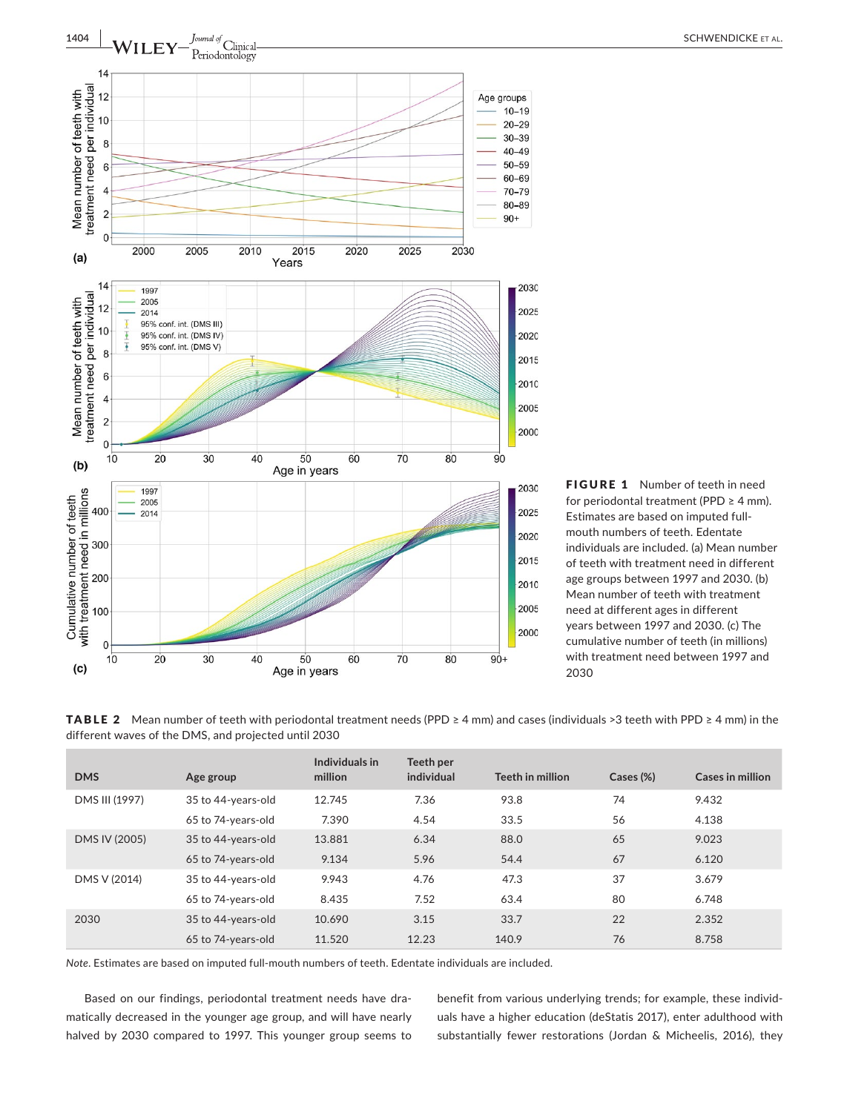

FIGURE 1 Number of teeth in need for periodontal treatment (PPD  $\geq$  4 mm). Estimates are based on imputed fullmouth numbers of teeth. Edentate individuals are included. (a) Mean number of teeth with treatment need in different age groups between 1997 and 2030. (b) Mean number of teeth with treatment need at different ages in different years between 1997 and 2030. (c) The cumulative number of teeth (in millions) with treatment need between 1997 and 2030

TABLE 2 Mean number of teeth with periodontal treatment needs (PPD ≥ 4 mm) and cases (individuals >3 teeth with PPD ≥ 4 mm) in the different waves of the DMS, and projected until 2030

| <b>DMS</b>     | Age group          | Individuals in<br>million | Teeth per<br>individual | Teeth in million | Cases (%) | <b>Cases in million</b> |
|----------------|--------------------|---------------------------|-------------------------|------------------|-----------|-------------------------|
|                |                    |                           |                         |                  |           |                         |
| DMS III (1997) | 35 to 44-years-old | 12.745                    | 7.36                    | 93.8             | 74        | 9.432                   |
|                | 65 to 74-years-old | 7.390                     | 4.54                    | 33.5             | 56        | 4.138                   |
| DMS IV (2005)  | 35 to 44-years-old | 13.881                    | 6.34                    | 88.0             | 65        | 9.023                   |
|                | 65 to 74-years-old | 9.134                     | 5.96                    | 54.4             | 67        | 6.120                   |
| DMS V (2014)   | 35 to 44-years-old | 9.943                     | 4.76                    | 47.3             | 37        | 3.679                   |
|                | 65 to 74-years-old | 8.435                     | 7.52                    | 63.4             | 80        | 6.748                   |
| 2030           | 35 to 44-years-old | 10.690                    | 3.15                    | 33.7             | 22        | 2.352                   |
|                | 65 to 74-years-old | 11.520                    | 12.23                   | 140.9            | 76        | 8.758                   |

*Note*. Estimates are based on imputed full-mouth numbers of teeth. Edentate individuals are included.

Based on our findings, periodontal treatment needs have dramatically decreased in the younger age group, and will have nearly halved by 2030 compared to 1997. This younger group seems to benefit from various underlying trends; for example, these individuals have a higher education (deStatis 2017), enter adulthood with substantially fewer restorations (Jordan & Micheelis, 2016), they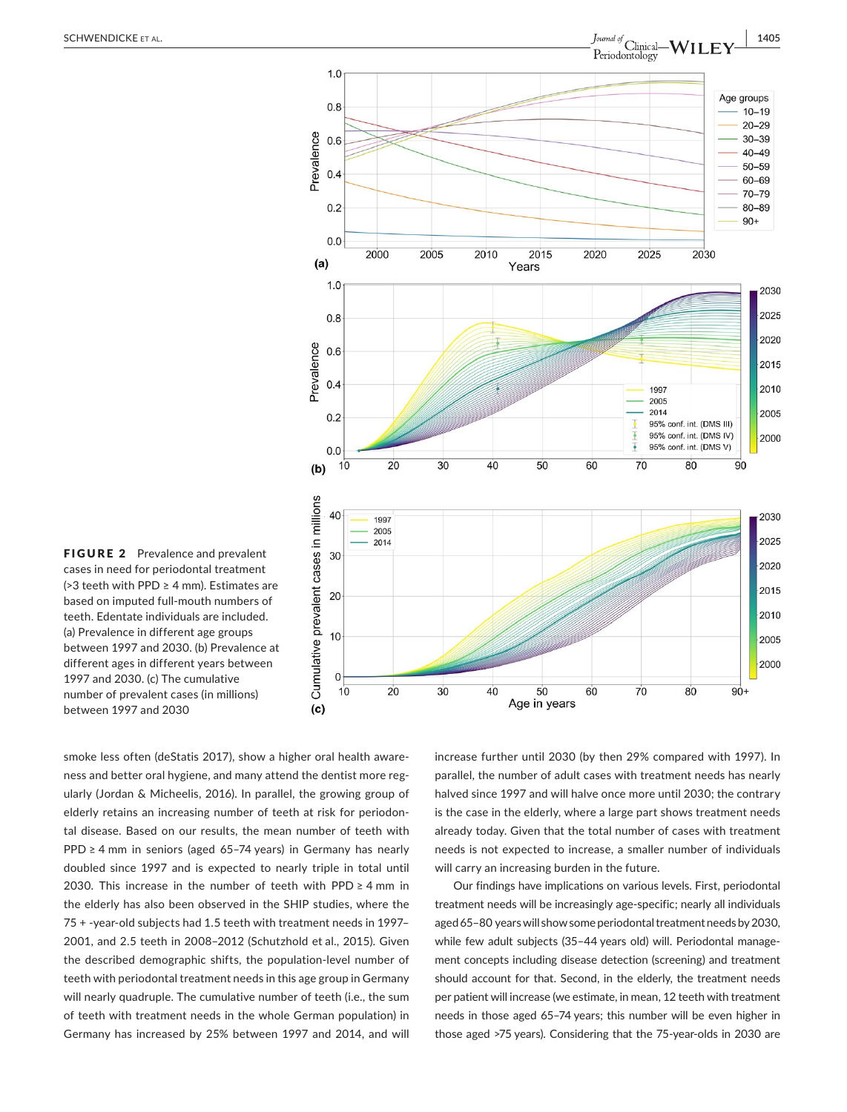

FIGURE 2 Prevalence and prevalent cases in need for periodontal treatment (>3 teeth with PPD ≥ 4 mm). Estimates are based on imputed full-mouth numbers of teeth. Edentate individuals are included. (a) Prevalence in different age groups between 1997 and 2030. (b) Prevalence at different ages in different years between 1997 and 2030. (c) The cumulative number of prevalent cases (in millions) between 1997 and 2030

smoke less often (deStatis 2017), show a higher oral health awareness and better oral hygiene, and many attend the dentist more regularly (Jordan & Micheelis, 2016). In parallel, the growing group of elderly retains an increasing number of teeth at risk for periodontal disease. Based on our results, the mean number of teeth with PPD ≥ 4 mm in seniors (aged 65-74 years) in Germany has nearly doubled since 1997 and is expected to nearly triple in total until 2030. This increase in the number of teeth with PPD ≥ 4 mm in the elderly has also been observed in the SHIP studies, where the 75 + -year-old subjects had 1.5 teeth with treatment needs in 1997– 2001, and 2.5 teeth in 2008–2012 (Schutzhold et al., 2015). Given the described demographic shifts, the population-level number of teeth with periodontal treatment needs in this age group in Germany will nearly quadruple. The cumulative number of teeth (i.e., the sum of teeth with treatment needs in the whole German population) in Germany has increased by 25% between 1997 and 2014, and will

increase further until 2030 (by then 29% compared with 1997). In parallel, the number of adult cases with treatment needs has nearly halved since 1997 and will halve once more until 2030; the contrary is the case in the elderly, where a large part shows treatment needs already today. Given that the total number of cases with treatment needs is not expected to increase, a smaller number of individuals will carry an increasing burden in the future.

Our findings have implications on various levels. First, periodontal treatment needs will be increasingly age-specific; nearly all individuals aged 65–80 years will show some periodontal treatment needs by 2030, while few adult subjects (35–44 years old) will. Periodontal management concepts including disease detection (screening) and treatment should account for that. Second, in the elderly, the treatment needs per patient will increase (we estimate, in mean, 12 teeth with treatment needs in those aged 65–74 years; this number will be even higher in those aged >75 years). Considering that the 75-year-olds in 2030 are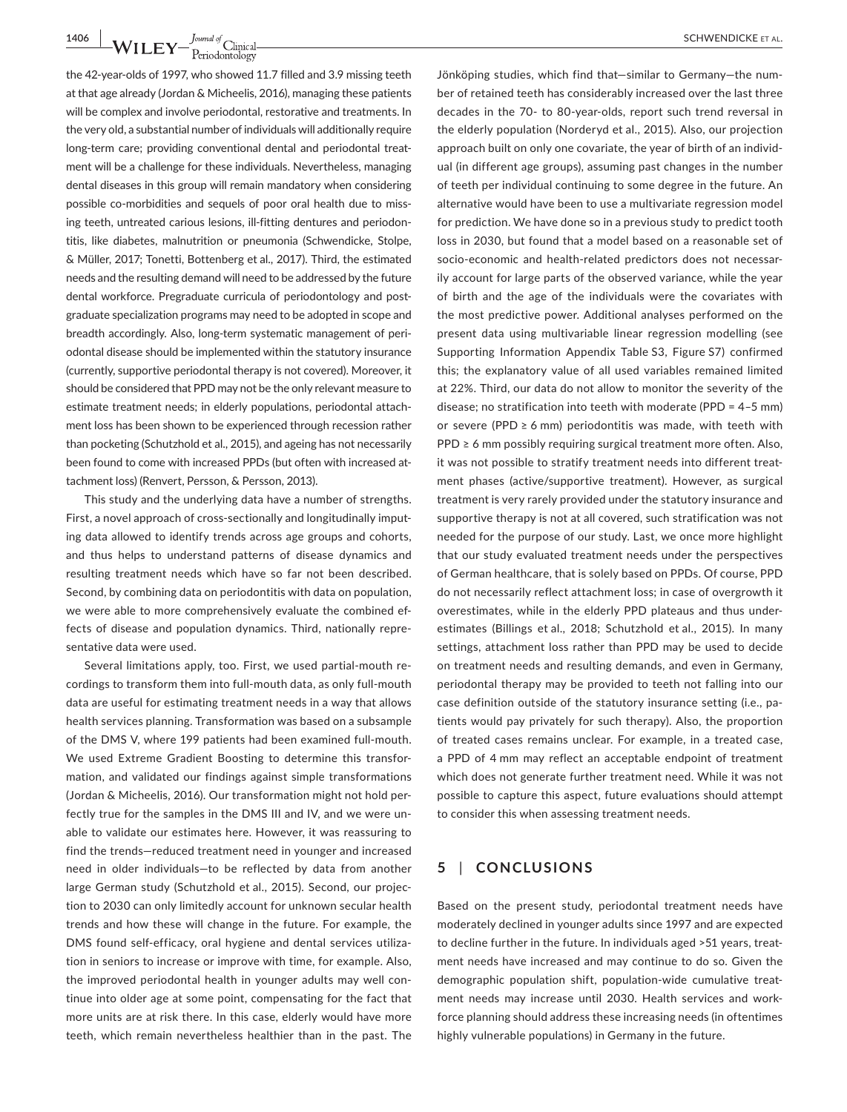**1406 • WILEY** -  $\frac{J^{\text{quad of}}}{\text{Periodontology}}$  Clinical **Example 2018 CONSECTER CONSECTED SCHWENDICKE** ET AL.

the 42-year-olds of 1997, who showed 11.7 filled and 3.9 missing teeth at that age already (Jordan & Micheelis, 2016), managing these patients will be complex and involve periodontal, restorative and treatments. In the very old, a substantial number of individuals will additionally require long-term care; providing conventional dental and periodontal treatment will be a challenge for these individuals. Nevertheless, managing dental diseases in this group will remain mandatory when considering possible co-morbidities and sequels of poor oral health due to missing teeth, untreated carious lesions, ill-fitting dentures and periodontitis, like diabetes, malnutrition or pneumonia (Schwendicke, Stolpe, & Müller, 2017; Tonetti, Bottenberg et al., 2017). Third, the estimated needs and the resulting demand will need to be addressed by the future dental workforce. Pregraduate curricula of periodontology and postgraduate specialization programs may need to be adopted in scope and breadth accordingly. Also, long-term systematic management of periodontal disease should be implemented within the statutory insurance (currently, supportive periodontal therapy is not covered). Moreover, it should be considered that PPD may not be the only relevant measure to estimate treatment needs; in elderly populations, periodontal attachment loss has been shown to be experienced through recession rather than pocketing (Schutzhold et al., 2015), and ageing has not necessarily been found to come with increased PPDs (but often with increased attachment loss) (Renvert, Persson, & Persson, 2013).

This study and the underlying data have a number of strengths. First, a novel approach of cross-sectionally and longitudinally imputing data allowed to identify trends across age groups and cohorts, and thus helps to understand patterns of disease dynamics and resulting treatment needs which have so far not been described. Second, by combining data on periodontitis with data on population, we were able to more comprehensively evaluate the combined effects of disease and population dynamics. Third, nationally representative data were used.

Several limitations apply, too. First, we used partial-mouth recordings to transform them into full-mouth data, as only full-mouth data are useful for estimating treatment needs in a way that allows health services planning. Transformation was based on a subsample of the DMS V, where 199 patients had been examined full-mouth. We used Extreme Gradient Boosting to determine this transformation, and validated our findings against simple transformations (Jordan & Micheelis, 2016). Our transformation might not hold perfectly true for the samples in the DMS III and IV, and we were unable to validate our estimates here. However, it was reassuring to find the trends—reduced treatment need in younger and increased need in older individuals—to be reflected by data from another large German study (Schutzhold et al., 2015). Second, our projection to 2030 can only limitedly account for unknown secular health trends and how these will change in the future. For example, the DMS found self-efficacy, oral hygiene and dental services utilization in seniors to increase or improve with time, for example. Also, the improved periodontal health in younger adults may well continue into older age at some point, compensating for the fact that more units are at risk there. In this case, elderly would have more teeth, which remain nevertheless healthier than in the past. The

Jönköping studies, which find that—similar to Germany—the number of retained teeth has considerably increased over the last three decades in the 70- to 80-year-olds, report such trend reversal in the elderly population (Norderyd et al., 2015). Also, our projection approach built on only one covariate, the year of birth of an individual (in different age groups), assuming past changes in the number of teeth per individual continuing to some degree in the future. An alternative would have been to use a multivariate regression model for prediction. We have done so in a previous study to predict tooth loss in 2030, but found that a model based on a reasonable set of socio-economic and health-related predictors does not necessarily account for large parts of the observed variance, while the year of birth and the age of the individuals were the covariates with the most predictive power. Additional analyses performed on the present data using multivariable linear regression modelling (see Supporting Information Appendix Table S3, Figure S7) confirmed this; the explanatory value of all used variables remained limited at 22%. Third, our data do not allow to monitor the severity of the disease; no stratification into teeth with moderate (PPD = 4–5 mm) or severe (PPD  $\geq 6$  mm) periodontitis was made, with teeth with PPD ≥ 6 mm possibly requiring surgical treatment more often. Also, it was not possible to stratify treatment needs into different treatment phases (active/supportive treatment). However, as surgical treatment is very rarely provided under the statutory insurance and supportive therapy is not at all covered, such stratification was not needed for the purpose of our study. Last, we once more highlight that our study evaluated treatment needs under the perspectives of German healthcare, that is solely based on PPDs. Of course, PPD do not necessarily reflect attachment loss; in case of overgrowth it overestimates, while in the elderly PPD plateaus and thus underestimates (Billings et al., 2018; Schutzhold et al., 2015). In many settings, attachment loss rather than PPD may be used to decide on treatment needs and resulting demands, and even in Germany, periodontal therapy may be provided to teeth not falling into our case definition outside of the statutory insurance setting (i.e., patients would pay privately for such therapy). Also, the proportion of treated cases remains unclear. For example, in a treated case, a PPD of 4 mm may reflect an acceptable endpoint of treatment which does not generate further treatment need. While it was not possible to capture this aspect, future evaluations should attempt to consider this when assessing treatment needs.

# **5** | **CONCLUSIONS**

Based on the present study, periodontal treatment needs have moderately declined in younger adults since 1997 and are expected to decline further in the future. In individuals aged >51 years, treatment needs have increased and may continue to do so. Given the demographic population shift, population-wide cumulative treatment needs may increase until 2030. Health services and workforce planning should address these increasing needs (in oftentimes highly vulnerable populations) in Germany in the future.